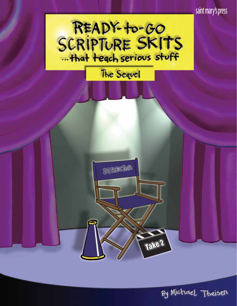

By Michael Theisen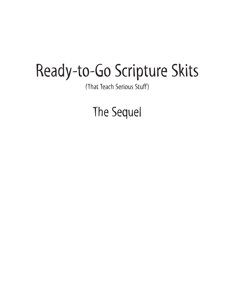# Ready-to-Go Scripture Skits

(That Teach Serious Stuff)

The Sequel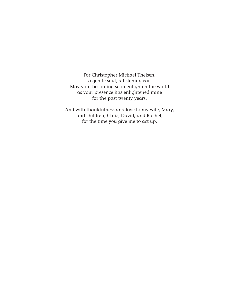For Christopher Michael Theisen, a gentle soul, a listening ear. May your becoming soon enlighten the world as your presence has enlightened mine for the past twenty years.

And with thankfulness and love to my wife, Mary, and children, Chris, David, and Rachel, for the time you give me to act up.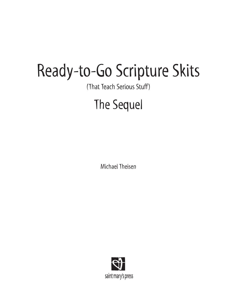# Ready-to-Go Scripture Skits

### (That Teach Serious Stuff)

## The Sequel

Michael Theisen

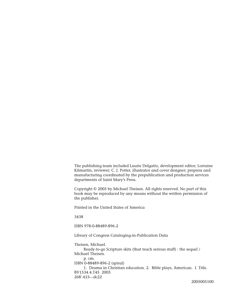The publishing team included Laurie Delgatto, development editor; Lorraine Kilmartin, reviewer; C. J. Potter, illustrator and cover designer; prepress and manufacturing coordinated by the prepublication and production services departments of Saint Mary's Press.

Copyright © 2005 by Michael Theisen. All rights reserved. No part of this book may be reproduced by any means without the written permission of the publisher.

Printed in the United States of America

3438

ISBN 978-0-88489-896-2

Library of Congress Cataloging-in-Publication Data

Theisen, Michael. Ready-to-go Scripture skits (that teach serious stuff) : the sequel / Michael Theisen. p. cm. ISBN 0-88489-896-2 (spiral) 1. Drama in Christian education. 2. Bible plays, American. I. Title. BV1534.4.T45 2005 268'.433—dc22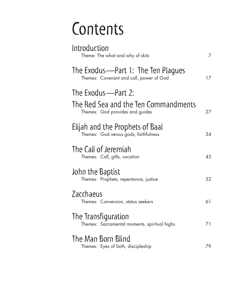# **Contents**

| Introduction<br>Theme: The what and why of skits                                              |    |
|-----------------------------------------------------------------------------------------------|----|
| The Exodus-Part 1: The Ten Plagues<br>Themes: Covenant and call, power of God                 | 17 |
| The Exodus—Part 2:<br>The Red Sea and the Ten Commandments<br>Themes: God provides and guides | 27 |
| Elijah and the Prophets of Baal<br>Themes: God versus gods, faithfulness                      | 34 |
| The Call of Jeremiah<br>Themes: Call, gifts, vocation                                         | 43 |
| <b>John the Baptist</b><br>Themes: Prophets, repentance, justice                              | 52 |
| Zacchaeus<br>Themes: Conversion, status seekers                                               | 61 |
| The Transfiguration<br>Themes: Sacramental moments, spiritual highs                           | 71 |
| The Man Born Blind<br>Themes: Eyes of faith, discipleship                                     | 79 |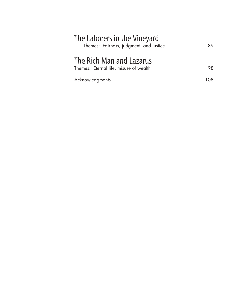| The Laborers in the Vineyard<br>Themes: Fairness, judgment, and justice |     |
|-------------------------------------------------------------------------|-----|
| The Rich Man and Lazarus<br>Themes: Eternal life, misuse of wealth      | 98  |
| Acknowledgments                                                         | 108 |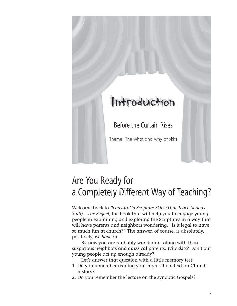

## Are You Ready for a Completely Different Way of Teaching?

Welcome back to *Ready-to-Go Scripture Skits (That Teach Serious Stuff)—The Sequel,* the book that will help you to engage young people in examining and exploring the Scriptures in a way that will have parents and neighbors wondering, "Is it legal to have so much fun at church?" The answer, of course, is absolutely, positively, *we hope so.*

By now you are probably wondering, along with those suspicious neighbors and quizzical parents: *Why skits?* Don't our young people act up enough already?

- Let's answer that question with a little memory test:
- 1. Do you remember reading your high school text on Church history?
- 2. Do you remember the lecture on the synoptic Gospels?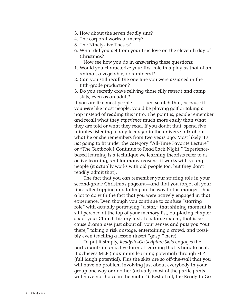- 3. How about the seven deadly sins?
- 4. The corporal works of mercy?
- 5. The Ninety-five Theses?
- 6. What did you get from your true love on the eleventh day of Christmas?

Now see how you do in answering these questions:

- 1. Would you characterize your first role in a play as that of an animal, a vegetable, or a mineral?
- 2. Can you still recall the one line you were assigned in the fifth-grade production?
- 3. Do you secretly crave reliving those silly retreat and camp skits, even as an adult?

If you are like most people . . . uh, scratch that, because if you *were* like most people, you'd be playing golf or taking a nap instead of reading this intro. The point is, people remember and recall what they *experience* much more easily than what they are told or what they read. If you doubt that, spend five minutes listening to any teenager in the universe talk about what he or she remembers from two years ago. Most likely it's *not* going to fit under the category "All-Time Favorite Lecture" or "The Textbook I Continue to Read Each Night." Experiencebased learning is a technique we learning theorists refer to as active learning, and for many reasons, it works with young people (it actually works with old people too, but they don't readily admit that).

The fact that you can remember your starring role in your second-grade Christmas pageant—and that you forgot all your lines after tripping and falling on the way to the manger—has a lot to do with the fact that you were actively engaged in that experience. Even though you continue to confuse "starring role" with actually portraying "a star," that shining moment is still perched at the top of your memory list, outplacing chapter six of your Church history text. To a large extent, that is because drama uses just about all your senses and puts you "out there," taking a risk onstage, entertaining a crowd, and possibly even teaching a lesson (insert "gasp!" here).

To put it simply, *Ready-to-Go Scripture Skits* engages the participants in an active form of learning that is hard to beat. It achieves MLP (maximum learning potential) through FLP (full laugh potential). Plus the skits are so off-the-wall that you will have no problem involving just about everybody in your group one way or another (actually most of the participants will have no choice in the matter!). Best of all, the Ready-to-Go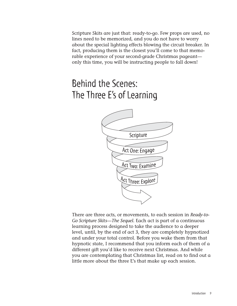Scripture Skits are just that: ready-to-go. Few props are used, no lines need to be memorized, and you do not have to worry about the special lighting effects blowing the circuit breaker. In fact, producing them is the closest you'll come to that memorable experience of your second-grade Christmas pageant only this time, you will be instructing people to fall down!

## Behind the Scenes: The Three E's of Learning



There are three acts, or movements, to each session in *Ready-to-Go Scripture Skits—The Sequel.* Each act is part of a continuous learning process designed to take the audience to a deeper level, until, by the end of act 3, they are completely hypnotized and under your total control. Before you wake them from that hypnotic state, I recommend that you inform each of them of a different gift you'd like to receive next Christmas. And while you are contemplating that Christmas list, read on to find out a little more about the three E's that make up each session.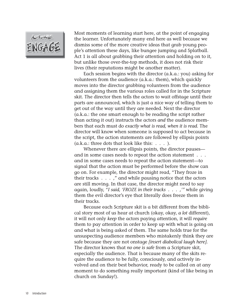

Most moments of learning start here, at the point of engaging the learner. Unfortunately many end here as well because we dismiss some of the more creative ideas that grab young people's attention these days, like bungee jumping and Splatball. Act 1 is all about grabbing their attention and holding on to it, but unlike those over-the-top methods, it does not risk their lives (their reputations might be another matter).

Each session begins with the director (a.k.a.: you) asking for volunteers from the audience (a.k.a.: them), which quickly moves into the director grabbing volunteers from the audience and assigning them the various roles called for in the Scripture skit. The director then tells the actors to wait offstage until their parts are announced, which is just a nice way of telling them to get out of the way until they are needed. Next the director (a.k.a.: the one smart enough to be reading the script rather than acting it out) instructs the actors *and* the audience members that each must do *exactly what is read, when it is read.* The director will know when someone is supposed to act because in the script, the action statements are followed by ellipsis points  $(a.k.a.:$  three dots that look like this:  $\ldots$ .

Whenever there are ellipsis points, the director pauses and in some cases needs to repeat the action statement . . . and in some cases needs to repeat the action statement—to signal that the action must be performed before the show can go on. For example, the director might read, "They froze in their tracks . . . ," and while pausing notice that the actors are still moving. In that case, the director might need to say again, loudly, *"I said, 'FROZE in their tracks . . . ,'"* while giving them the evil director's eye that literally does freeze them in their tracks.

Because each Scripture skit is a bit different from the biblical story most of us hear at church (okay, okay, *a lot* different), it will not only *keep* the actors paying attention, it will *require* them to pay attention in order to keep up with what is going on and what is being asked of them. The same holds true for the unsuspecting audience members who mistakenly think they are safe because they are not onstage *[insert diabolical laugh here].* The director knows that *no one is safe* from a Scripture skit, especially the audience. That is because many of the skits require the audience to be fully, consciously, and actively involved and on their best behavior, ready to be called on at any moment to do something really important (kind of like being in church on Sunday!).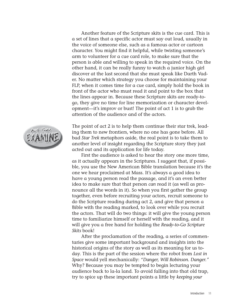Another feature of the Scripture skits is the cue card. This is a set of lines that a specific actor must say out loud, usually in the voice of someone else, such as a famous actor or cartoon character. You might find it helpful, while twisting someone's arm to volunteer for a cue card role, to make sure that the person is able and willing to speak in the required voice. On the other hand, it can be really funny to watch a junior high girl discover at the last second that she must speak like Darth Vader. No matter which strategy you choose for maintaining your FLP, when it comes time for a cue card, simply hold the book in front of the actor who must read it and point to the box that the lines appear in. Because these Scripture skits are ready-togo, they give no time for line memorization or character development—it's improv or bust! The point of act 1 is to grab the attention of the audience and of the actors.



The point of act 2 is to help them continue their star trek, leading them to new frontiers, where no one has gone before. All bad *Star Trek* metaphors aside, the real point is to take them to another level of insight regarding the Scripture story they just acted out and its application for life today.

First the audience is asked to hear the story one more time, as it actually appears in the Scriptures. I suggest that, if possible, you use the New American Bible translation because it's the one we hear proclaimed at Mass. It's always a good idea to have a young person read the passage, and it's an even better idea to make sure that that person *can* read it (as well as pronounce all the words in it). So when you first gather the group together, even before recruiting your actors, recruit someone to do the Scripture reading during act 2, and give that person a Bible with the reading marked, to look over while you recruit the actors. That will do two things: it will give the young person time to familiarize himself or herself with the reading, and it will give you a free hand for holding the *Ready-to-Go Scripture Skits* book!

After the proclamation of the reading, a series of commentaries give some important background and insights into the historical origins of the story as well as its meaning for us today. This is the part of the session where the robot from *Lost in Space* would yell mechanically: *"Danger, Will Robinson. Danger."* Why? Because you may be tempted to begin lecturing your audience back to la-la land. To avoid falling into that old trap, try to spice up these important points a little by *keeping your*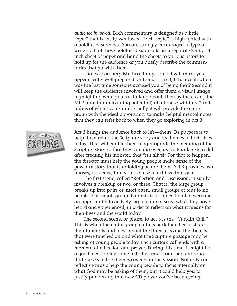*audience involved.* Each commentary is designed as a little "byte" that is easily swallowed. Each "byte" is highlighted with a boldfaced subhead. You are strongly encouraged to type or write each of those boldfaced subheads on a separate 81 ⁄2-by-11 inch sheet of paper and hand the sheets to various actors to hold up for the audience as you briefly describe the commentaries that go with them.

That will accomplish three things: First it will make you appear really well prepared and smart—and, let's face it, when was the last time someone accused you of being that? Second it will keep the audience involved and offer them a visual image highlighting what you are talking about, thereby increasing the MLP (maximum learning potential) of all those within a 3-mile radius of where you stand. Finally it will provide the entire group with the ideal opportunity to make helpful mental notes that they can refer back to when they go exploring in act 3.



Act 3 brings the audience back to life—theirs! Its purpose is to help them relate the Scripture story and its themes to their lives today. That will enable them to appropriate the meaning of the Scripture story so that they can discover, as Dr. Frankenstein did after creating his monster, that "it's alive!" For that to happen, the director must help the young people make sense of the powerful story that is unfolding before them. Act 3 provides two phases, or scenes, that you can use to achieve that goal.

The first scene, called "Reflection and Discussion," usually involves a breakup or two, or three. That is, the large group breaks up into pairs or, most often, small groups of four to six people. This small-group dynamic is designed to offer everyone an opportunity to actively explore and discuss what they have heard and experienced, in order to reflect on what it means for their lives and the world today.

The second scene, or phase, to act 3 is the "Curtain Call." This is when the entire group gathers back together to share their thoughts and ideas about the three acts and the themes that were touched on and what the Scripture passage may be asking of young people today. Each curtain call ends with a moment of reflection and prayer. During this time, it might be a good idea to play some reflective music or a popular song that speaks to the themes covered in the session. Not only can reflective music help the young people to focus internally on what God may be asking of them, but it could help you to justify purchasing that new CD player you've been eyeing.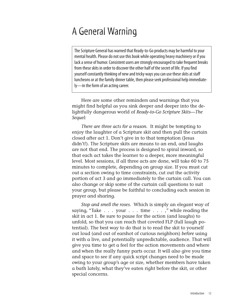## A General Warning

The Scripture General has warned that Ready-to-Go products may be harmful to your mental health. Please do not use this book while operating heavy machinery or if you lack a sense of humor. Consistent users are strongly encouraged to take frequent breaks from these skits in order to discover the other half of the secret of life. If you find yourself constantly thinking of new and tricky ways you can use these skits at staff luncheons or at the family dinner table, then please seek professional help immediately—in the form of an acting career.

Here are some other reminders and warnings that you might find helpful as you sink deeper and deeper into the delightfully dangerous world of *Ready-to-Go Scripture Skits—The Sequel:*

*There are three acts for a reason.* It might be tempting to enjoy the laughter of a Scripture skit and then pull the curtain closed after act 1. Don't give in to that temptation (Jesus didn't!). The Scripture skits are means to an end, and laughs are not that end. The process is designed to spiral inward, so that each act takes the learner to a deeper, more meaningful level. Most sessions, if all three acts are done, will take 60 to 75 minutes to complete, depending on group size. If you must cut out a section owing to time constraints, cut out the activity portion of act 3 and go immediately to the curtain call. You can also change or skip some of the curtain call questions to suit your group, but please be faithful to concluding each session in prayer and sharing.

*Stop and smell the roses.* Which is simply an elegant way of saying, "Take . . . your . . . time . . . ," while reading the skit in act 1. Be sure to pause for the action (and laughs) to unfold, so that you can reach that coveted FLP (full laugh potential). The best way to do that is to read the skit to yourself out loud (and out of earshot of curious neighbors) *before* using it with a live, and potentially unpredictable, audience. That will give you time to get a feel for the action movements and where and when the really funny parts occur. It will also give you time and space to see if any quick script changes need to be made owing to your group's age or size, whether members have taken a bath lately, what they've eaten right before the skit, or other special concerns.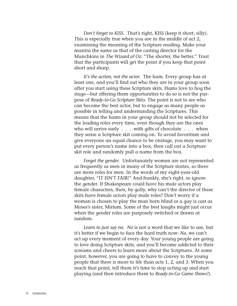*Don't forget to KISS.* That's right, KISS (keep it short, silly). This is especially true when you are in the middle of act 2, examining the meaning of the Scripture reading. Make your mantra the same as that of the casting director for the Munchkins in *The Wizard of Oz:* "The shorter, the better." Trust that the participants will get the point if you keep that point short and sharp.

*It's the action, not the actor.* The ham. Every group has at least one, and you'll find out who they are in your group soon after you start using these Scripture skits. Hams love to hog the stage—but offering them opportunities to do so is not the purpose of *Ready-to-Go Scripture Skits.* The point is not to see who can become the best actor, but to engage as many people as possible in telling and understanding the Scriptures. This means that the hams in your group should not be selected for the leading roles every time, even though they are the ones who will arrive early . . . with gifts of chocolate . . . when they sense a Scripture skit coming on. To avoid favoritism and give everyone an equal chance to be onstage, you may want to put every person's name into a box, then call out a Scripture skit role and randomly pull a name from the box.

*Forget the gender.* Unfortunately women are not represented as frequently as men in many of the Scripture stories, so there are more roles for men. In the words of my eight-year-old daughter, "IT ISN'T FAIR!" And frankly, she's right, so ignore the gender. If Shakespeare could have his male actors play female characters, then, by golly, why can't the director of these skits have female actors play male roles? Don't worry if a woman is chosen to play the man born blind or a guy is cast as Moses's sister, Miriam. Some of the best laughs might just occur when the gender roles are purposely switched or drawn at random.

*Learn to just say no. No* is not a word that we like to use, but it's better if we begin to face the hard truth now: *No,* we can't act up every moment of every day. Your young people are going to love doing Scripture skits, and you'll become addicted to their screams and cheers to learn more about the Scriptures. At some point, however, you are going to have to convey to the young people that there is more to life than acts 1, 2, and 3. When you reach that point, tell them it's time to stop acting up and start playing (and then introduce them to *Ready-to-Go Game Shows!*).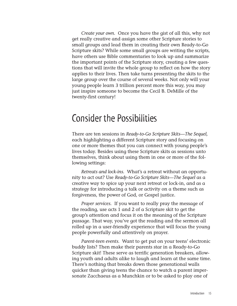*Create your own.* Once you have the gist of all this, why not get really creative and assign some other Scripture stories to small groups and lead them in creating their own Ready-to-Go Scripture skits? While some small groups are writing the scripts, have others use Bible commentaries to look up and summarize the important points of the Scripture story, creating a few questions that will invite the whole group to reflect on how the story applies to their lives. Then take turns presenting the skits to the large group over the course of several weeks. Not only will your young people learn 3 trillion percent more this way, you may just inspire someone to become the Cecil B. DeMille of the twenty-first century!

## Consider the Possibilities

There are ten sessions in *Ready-to-Go Scripture Skits—The Sequel,* each highlighting a different Scripture story and focusing on one or more themes that you can connect with young people's lives today. Besides using these Scripture skits as sessions unto themselves, think about using them in one or more of the following settings:

*Retreats and lock-ins.* What's a retreat without an opportunity to act out? Use *Ready-to-Go Scripture Skits—The Sequel* as a creative way to spice up your next retreat or lock-in, and as a strategy for introducing a talk or activity on a theme such as forgiveness, the power of God, or Gospel justice.

*Prayer services.* If you want to really pray the message of the reading, use acts 1 and 2 of a Scripture skit to get the group's attention and focus it on the meaning of the Scripture passage. That way, you've got the reading and the sermon all rolled up in a user-friendly experience that will focus the young people powerfully and attentively on prayer.

*Parent-teen events.* Want to get put on your teens' electronic buddy lists? Then make their parents star in a Ready-to-Go Scripture skit! These serve as terrific generation breakers, allowing youth and adults alike to laugh and learn at the same time. There's nothing that breaks down those generational walls quicker than giving teens the chance to watch a parent impersonate Zacchaeus as a Munchkin or to be asked to play one of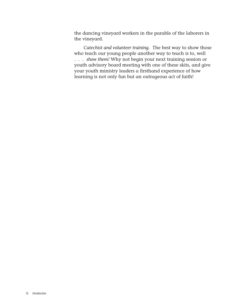the dancing vineyard workers in the parable of the laborers in the vineyard.

*Catechist and volunteer training.* The best way to show those who teach our young people another way to teach is to, well . . . *show them!* Why not begin your next training session or youth advisory board meeting with one of these skits, and give your youth ministry leaders a firsthand experience of how learning is not only fun but an outrageous act of faith!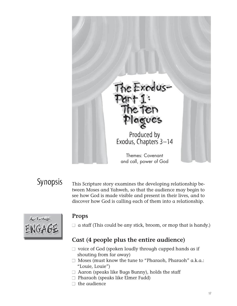

## Synopsis

This Scripture story examines the developing relationship between Moses and Yahweh, so that the audience may begin to see how God is made visible and present in their lives, and to discover how God is calling each of them into a relationship.



#### **Props**

 $\Box$  a staff (This could be any stick, broom, or mop that is handy.)

#### **Cast (4 people plus the entire audience)**

- $\Box$  voice of God (spoken loudly through cupped hands as if shouting from far away)
- $\Box$  Moses (must know the tune to "Pharaoh, Pharaoh" a.k.a.: "Louie, Louie")
- $\Box$  Aaron (speaks like Bugs Bunny), holds the staff
- $\Box$  Pharaoh (speaks like Elmer Fudd)
- $\Box$  the audience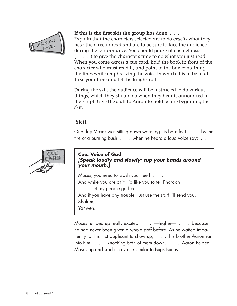

#### **If this is the first skit the group has done . . .**

Explain that the characters selected are to do *exactly* what they hear the director read and are to be sure to face the audience during the performance. You should pause at each ellipsis  $( \ldots )$  to give the characters time to do what you just read. When you come across a cue card, hold the book in front of the character who must read it, and point to the box containing the lines while emphasizing the voice in which it is to be read. Take your time and let the laughs roll!

During the skit, the audience will be instructed to do various things, which they should do when they hear it announced in the script. Give the staff to Aaron to hold before beginning the skit.

#### **Skit**

One day Moses was sitting down warming his bare feet . . . by the fire of a burning bush . . . when he heard a loud voice say: . . .



#### **Cue: Voice of God [Speak loudly and slowly; cup your hands around your mouth.]**

Moses, you need to wash your feet! . . . And while you are at it, I'd like you to tell Pharaoh to let my people go free. And if you have any trouble, just use the staff I'll send you.

Shalom,

Yahweh.

Moses jumped up really excited . . . —higher— . . . because he had never been given a whole staff before. As he waited impatiently for his first applicant to show up, . . . his brother Aaron ran into him, . . . knocking both of them down. . . . Aaron helped Moses up and said in a voice similar to Bugs Bunny's: . . .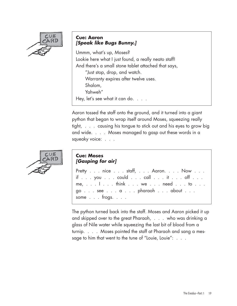

#### **Cue: Aaron [Speak like Bugs Bunny.]**

Ummm, what's up, Moses? Lookie here what I just found, a really neato staff! And there's a small stone tablet attached that says, "Just stop, drop, and watch. Warranty expires after twelve uses. Shalom, Yahweh" Hey, let's see what it can do. . . .

Aaron tossed the staff onto the ground, and it turned into a giant python that began to wrap itself around Moses, squeezing really tight, . . . causing his tongue to stick out and his eyes to grow big and wide. . . . Moses managed to gasp out these words in a squeaky voice: . . .



#### **Cue: Moses [Gasping for air]**

Pretty . . . nice . . . staff, . . . Aaron. . . . Now . . .  $if \ldots you \ldots could \ldots call \ldots if \ldots off \ldots$ me, . . . I . . . think . . . we . . . need . . . to . . . go . . . see . . . a . . . pharaoh . . . about . . . some . . . frogs. . . .

The python turned back into the staff. Moses and Aaron picked it up and skipped over to the great Pharaoh, . . . who was drinking a glass of Nile water while squeezing the last bit of blood from a turnip. . . . Moses pointed the staff at Pharaoh and sang a message to him that went to the tune of "Louie, Louie": . . .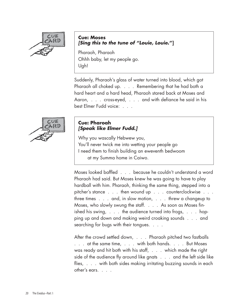

#### **Cue: Moses [Sing this to the tune of "Louie, Louie."]**

Pharaoh, Pharaoh Ohhh baby, let my people go. Ugh!

Suddenly, Pharaoh's glass of water turned into blood, which got Pharaoh all choked up. . . . Remembering that he had both a hard heart and a hard head, Pharaoh stared back at Moses and Aaron, . . . cross-eyed, . . . and with defiance he said in his best Elmer Fudd voice: . . .



#### **Cue: Pharoah [Speak like Elmer Fudd.]**

Why you wascally Hebwew you, You'll never twick me into wetting your people go I need them to finish building an eweventh bedwoom at my Summa home in Caiwo.

Moses looked baffled . . . because he couldn't understand a word Pharaoh had said. But Moses knew he was going to have to play hardball with him. Pharaoh, thinking the same thing, stepped into a pitcher's stance . . . then wound up . . . counterclockwise . . . three times . . . and, in slow motion, . . . threw a changeup to Moses, who slowly swung the staff. . . . As soon as Moses finished his swing,  $\ldots$  the audience turned into frogs,  $\ldots$  hopping up and down and making weird croaking sounds . . . and searching for bugs with their tongues. . . .

After the crowd settled down, . . . Pharaoh pitched two fastballs . . . at the same time, . . . with both hands. . . . But Moses was ready and hit both with his staff, . . . which made the right side of the audience fly around like gnats . . . and the left side like flies, . . . with both sides making irritating buzzing sounds in each other's ears. . . .